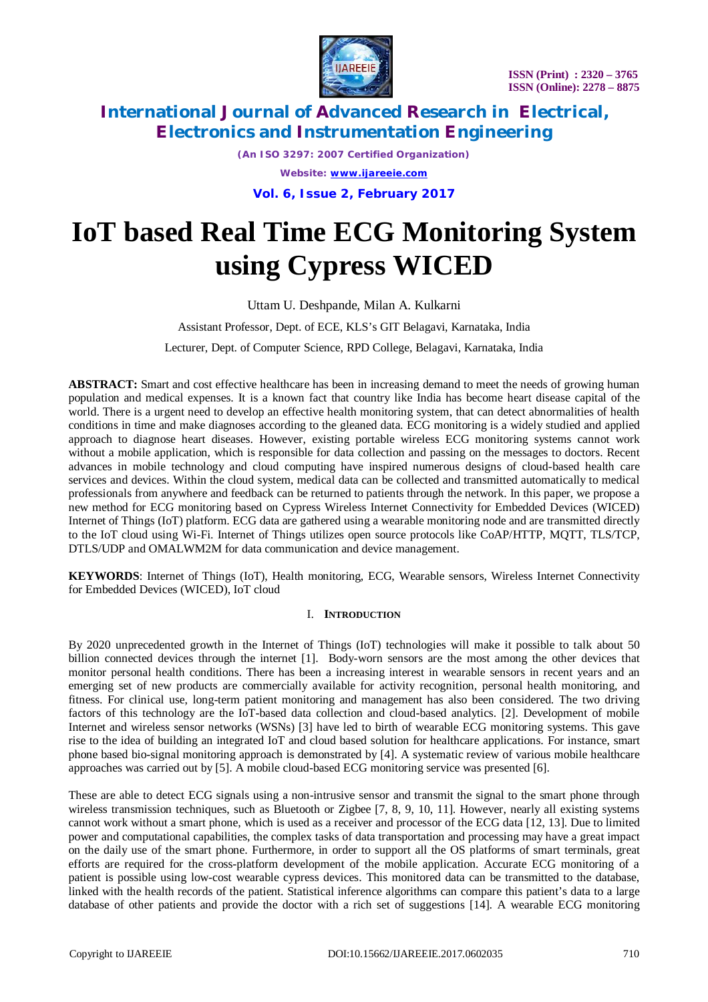

*(An ISO 3297: 2007 Certified Organization) Website: [www.ijareeie.com](http://www.ijareeie.com)*

**Vol. 6, Issue 2, February 2017**

# **IoT based Real Time ECG Monitoring System using Cypress WICED**

Uttam U. Deshpande, Milan A. Kulkarni

Assistant Professor, Dept. of ECE, KLS's GIT Belagavi, Karnataka, India

Lecturer, Dept. of Computer Science, RPD College, Belagavi, Karnataka, India

**ABSTRACT:** Smart and cost effective healthcare has been in increasing demand to meet the needs of growing human population and medical expenses. It is a known fact that country like India has become heart disease capital of the world. There is a urgent need to develop an effective health monitoring system, that can detect abnormalities of health conditions in time and make diagnoses according to the gleaned data. ECG monitoring is a widely studied and applied approach to diagnose heart diseases. However, existing portable wireless ECG monitoring systems cannot work without a mobile application, which is responsible for data collection and passing on the messages to doctors. Recent advances in mobile technology and cloud computing have inspired numerous designs of cloud-based health care services and devices. Within the cloud system, medical data can be collected and transmitted automatically to medical professionals from anywhere and feedback can be returned to patients through the network. In this paper, we propose a new method for ECG monitoring based on Cypress Wireless Internet Connectivity for Embedded Devices (WICED) Internet of Things (IoT) platform. ECG data are gathered using a wearable monitoring node and are transmitted directly to the IoT cloud using Wi-Fi. Internet of Things utilizes open source protocols like CoAP/HTTP, MQTT, TLS/TCP, DTLS/UDP and OMALWM2M for data communication and device management.

**KEYWORDS**: Internet of Things (IoT), Health monitoring, ECG, Wearable sensors, Wireless Internet Connectivity for Embedded Devices (WICED), IoT cloud

#### I. **INTRODUCTION**

By 2020 unprecedented growth in the Internet of Things (IoT) technologies will make it possible to talk about 50 billion connected devices through the internet [1]. Body-worn sensors are the most among the other devices that monitor personal health conditions. There has been a increasing interest in wearable sensors in recent years and an emerging set of new products are commercially available for activity recognition, personal health monitoring, and fitness. For clinical use, long-term patient monitoring and management has also been considered. The two driving factors of this technology are the IoT-based data collection and cloud-based analytics. [2]. Development of mobile Internet and wireless sensor networks (WSNs) [3] have led to birth of wearable ECG monitoring systems. This gave rise to the idea of building an integrated IoT and cloud based solution for healthcare applications. For instance, smart phone based bio-signal monitoring approach is demonstrated by [4]. A systematic review of various mobile healthcare approaches was carried out by [5]. A mobile cloud-based ECG monitoring service was presented [6].

These are able to detect ECG signals using a non-intrusive sensor and transmit the signal to the smart phone through wireless transmission techniques, such as Bluetooth or Zigbee [7, 8, 9, 10, 11]. However, nearly all existing systems cannot work without a smart phone, which is used as a receiver and processor of the ECG data [12, 13]. Due to limited power and computational capabilities, the complex tasks of data transportation and processing may have a great impact on the daily use of the smart phone. Furthermore, in order to support all the OS platforms of smart terminals, great efforts are required for the cross-platform development of the mobile application. Accurate ECG monitoring of a patient is possible using low-cost wearable cypress devices. This monitored data can be transmitted to the database, linked with the health records of the patient. Statistical inference algorithms can compare this patient's data to a large database of other patients and provide the doctor with a rich set of suggestions [14]. A wearable ECG monitoring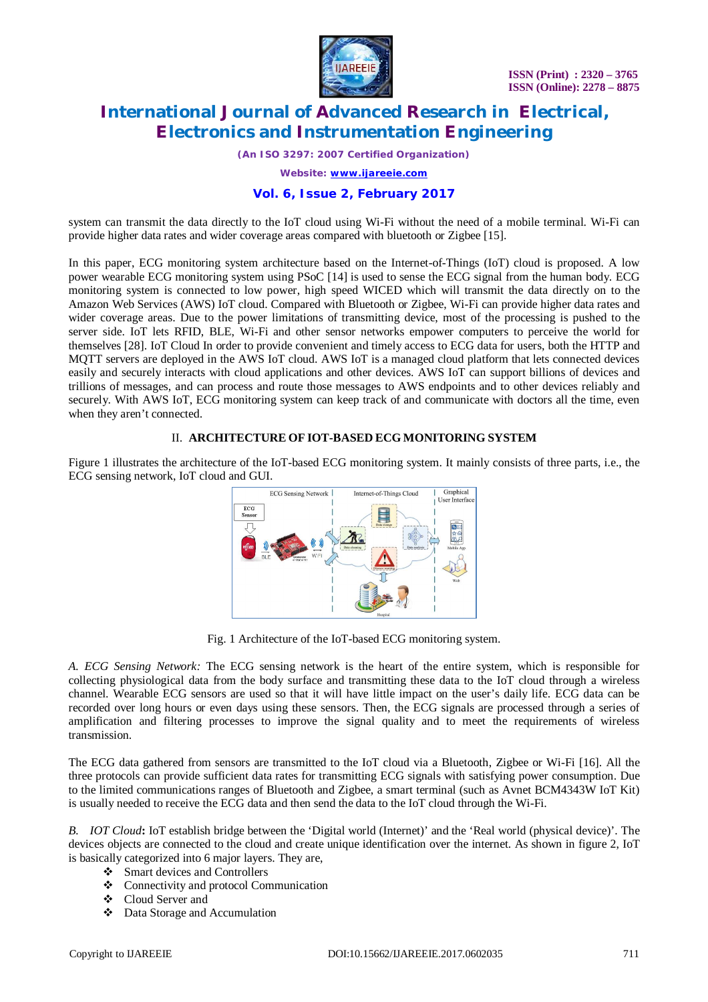

*(An ISO 3297: 2007 Certified Organization)*

*Website: [www.ijareeie.com](http://www.ijareeie.com)*

#### **Vol. 6, Issue 2, February 2017**

system can transmit the data directly to the IoT cloud using Wi-Fi without the need of a mobile terminal. Wi-Fi can provide higher data rates and wider coverage areas compared with bluetooth or Zigbee [15].

In this paper, ECG monitoring system architecture based on the Internet-of-Things (IoT) cloud is proposed. A low power wearable ECG monitoring system using PSoC [14] is used to sense the ECG signal from the human body. ECG monitoring system is connected to low power, high speed WICED which will transmit the data directly on to the Amazon Web Services (AWS) IoT cloud. Compared with Bluetooth or Zigbee, Wi-Fi can provide higher data rates and wider coverage areas. Due to the power limitations of transmitting device, most of the processing is pushed to the server side. IoT lets RFID, BLE, Wi-Fi and other sensor networks empower computers to perceive the world for themselves [28]. IoT Cloud In order to provide convenient and timely access to ECG data for users, both the HTTP and MQTT servers are deployed in the AWS IoT cloud. AWS IoT is a managed cloud platform that lets connected devices easily and securely interacts with cloud applications and other devices. AWS IoT can support billions of devices and trillions of messages, and can process and route those messages to AWS endpoints and to other devices reliably and securely. With AWS IoT, ECG monitoring system can keep track of and communicate with doctors all the time, even when they aren't connected.

#### II. **ARCHITECTURE OF IOT-BASED ECG MONITORING SYSTEM**

Figure 1 illustrates the architecture of the IoT-based ECG monitoring system. It mainly consists of three parts, i.e., the ECG sensing network, IoT cloud and GUI.



Fig. 1 Architecture of the IoT-based ECG monitoring system.

*A. ECG Sensing Network:* The ECG sensing network is the heart of the entire system, which is responsible for collecting physiological data from the body surface and transmitting these data to the IoT cloud through a wireless channel. Wearable ECG sensors are used so that it will have little impact on the user's daily life. ECG data can be recorded over long hours or even days using these sensors. Then, the ECG signals are processed through a series of amplification and filtering processes to improve the signal quality and to meet the requirements of wireless transmission.

The ECG data gathered from sensors are transmitted to the IoT cloud via a Bluetooth, Zigbee or Wi-Fi [16]. All the three protocols can provide sufficient data rates for transmitting ECG signals with satisfying power consumption. Due to the limited communications ranges of Bluetooth and Zigbee, a smart terminal (such as Avnet BCM4343W IoT Kit) is usually needed to receive the ECG data and then send the data to the IoT cloud through the Wi-Fi.

*B. IOT Cloud***:** IoT establish bridge between the 'Digital world (Internet)' and the 'Real world (physical device)'. The devices objects are connected to the cloud and create unique identification over the internet. As shown in figure 2, IoT is basically categorized into 6 major layers. They are,

- Smart devices and Controllers
- Connectivity and protocol Communication
- Cloud Server and
- Data Storage and Accumulation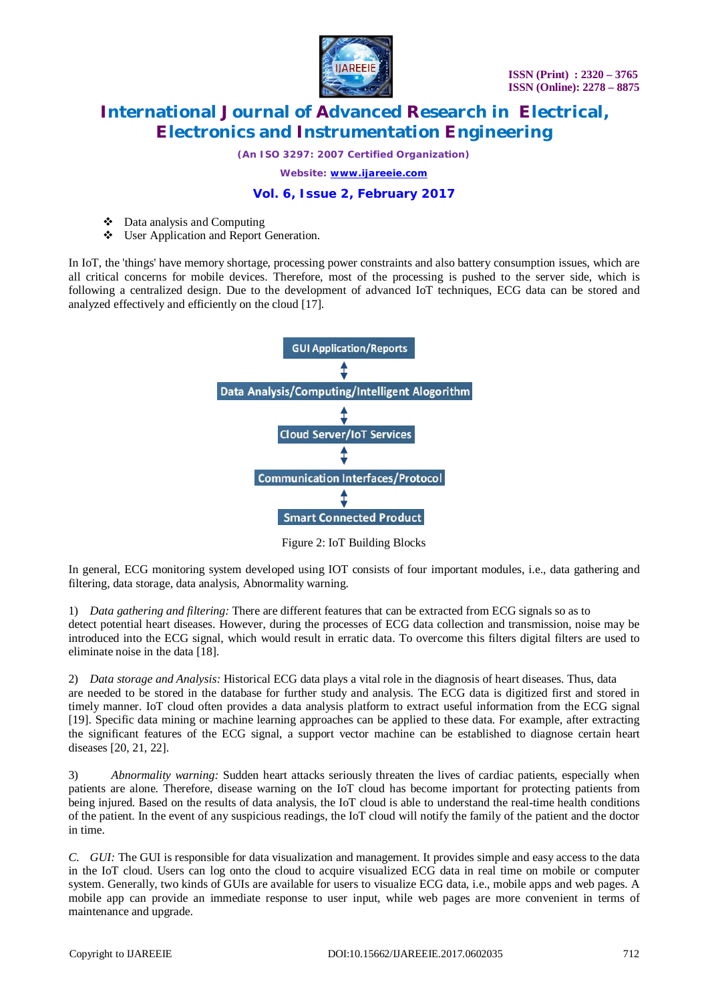

*(An ISO 3297: 2007 Certified Organization)*

*Website: [www.ijareeie.com](http://www.ijareeie.com)*

#### **Vol. 6, Issue 2, February 2017**

- Data analysis and Computing
- User Application and Report Generation.

In IoT, the 'things' have memory shortage, processing power constraints and also battery consumption issues, which are all critical concerns for mobile devices. Therefore, most of the processing is pushed to the server side, which is following a centralized design. Due to the development of advanced IoT techniques, ECG data can be stored and analyzed effectively and efficiently on the cloud [17].



Figure 2: IoT Building Blocks

In general, ECG monitoring system developed using IOT consists of four important modules, i.e., data gathering and filtering, data storage, data analysis, Abnormality warning.

1) *Data gathering and filtering:* There are different features that can be extracted from ECG signals so as to detect potential heart diseases. However, during the processes of ECG data collection and transmission, noise may be introduced into the ECG signal, which would result in erratic data. To overcome this filters digital filters are used to eliminate noise in the data [18].

2) *Data storage and Analysis:* Historical ECG data plays a vital role in the diagnosis of heart diseases. Thus, data are needed to be stored in the database for further study and analysis. The ECG data is digitized first and stored in timely manner. IoT cloud often provides a data analysis platform to extract useful information from the ECG signal [19]. Specific data mining or machine learning approaches can be applied to these data. For example, after extracting the significant features of the ECG signal, a support vector machine can be established to diagnose certain heart diseases [20, 21, 22].

3) *Abnormality warning:* Sudden heart attacks seriously threaten the lives of cardiac patients, especially when patients are alone. Therefore, disease warning on the IoT cloud has become important for protecting patients from being injured. Based on the results of data analysis, the IoT cloud is able to understand the real-time health conditions of the patient. In the event of any suspicious readings, the IoT cloud will notify the family of the patient and the doctor in time.

*C. GUI:* The GUI is responsible for data visualization and management. It provides simple and easy access to the data in the IoT cloud. Users can log onto the cloud to acquire visualized ECG data in real time on mobile or computer system. Generally, two kinds of GUIs are available for users to visualize ECG data, i.e., mobile apps and web pages. A mobile app can provide an immediate response to user input, while web pages are more convenient in terms of maintenance and upgrade.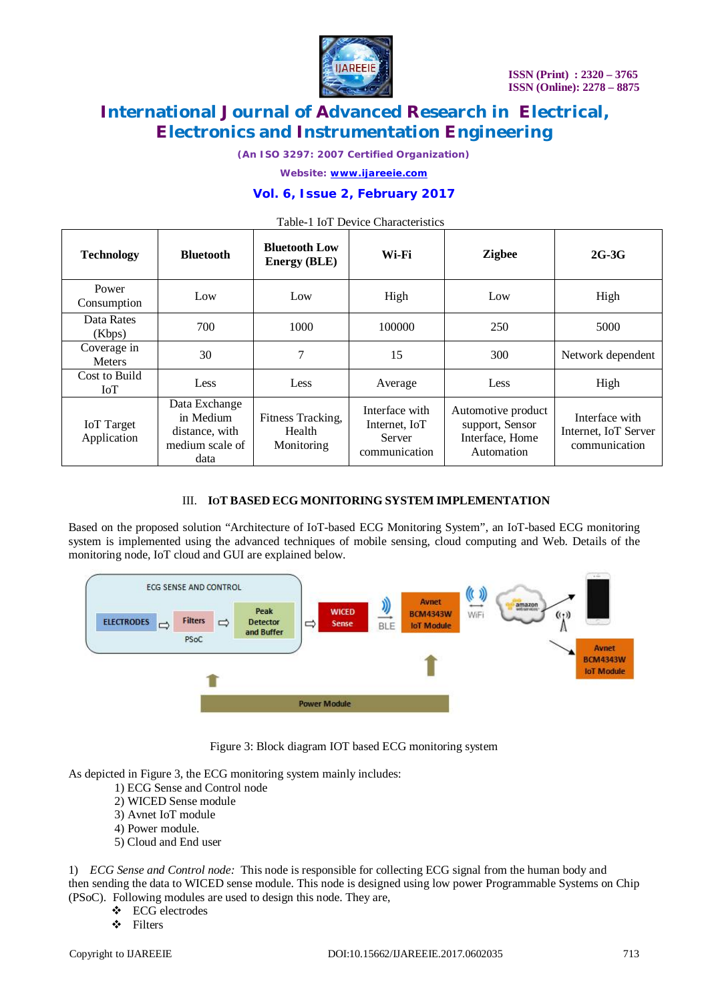

*(An ISO 3297: 2007 Certified Organization)*

*Website: [www.ijareeie.com](http://www.ijareeie.com)*

#### **Vol. 6, Issue 2, February 2017**

| <b>Technology</b>                | <b>Bluetooth</b>                                                        | <b>Bluetooth Low</b><br><b>Energy (BLE)</b> | Wi-Fi                                                      | <b>Zigbee</b>                                                          | $2G-3G$                                                 |
|----------------------------------|-------------------------------------------------------------------------|---------------------------------------------|------------------------------------------------------------|------------------------------------------------------------------------|---------------------------------------------------------|
| Power<br>Consumption             | Low                                                                     | Low                                         | High                                                       | Low                                                                    | High                                                    |
| Data Rates<br>(Kbps)             | 700                                                                     | 1000                                        | 100000                                                     | 250                                                                    | 5000                                                    |
| Coverage in<br><b>Meters</b>     | 30                                                                      | 7                                           | 15                                                         | 300                                                                    | Network dependent                                       |
| Cost to Build<br>IoT             | Less                                                                    | Less                                        | Average                                                    | Less                                                                   | High                                                    |
| <b>IoT</b> Target<br>Application | Data Exchange<br>in Medium<br>distance, with<br>medium scale of<br>data | Fitness Tracking,<br>Health<br>Monitoring   | Interface with<br>Internet, IoT<br>Server<br>communication | Automotive product<br>support, Sensor<br>Interface, Home<br>Automation | Interface with<br>Internet, IoT Server<br>communication |

### $T_{\rm tot}$  1.1.  $T_{\rm t}$   $T_{\rm t}$   $D_{\rm ext}$   $C_{\rm t}$  are straighteristics

#### III. **IOT BASED ECG MONITORING SYSTEM IMPLEMENTATION**

Based on the proposed solution "Architecture of IoT-based ECG Monitoring System", an IoT-based ECG monitoring system is implemented using the advanced techniques of mobile sensing, cloud computing and Web. Details of the monitoring node, IoT cloud and GUI are explained below.



Figure 3: Block diagram IOT based ECG monitoring system

As depicted in Figure 3, the ECG monitoring system mainly includes:

- 1) ECG Sense and Control node
- 2) WICED Sense module
- 3) Avnet IoT module
- 4) Power module.
- 5) Cloud and End user

1) *ECG Sense and Control node:* This node is responsible for collecting ECG signal from the human body and then sending the data to WICED sense module. This node is designed using low power Programmable Systems on Chip (PSoC). Following modules are used to design this node. They are,

- ECG electrodes
- Filters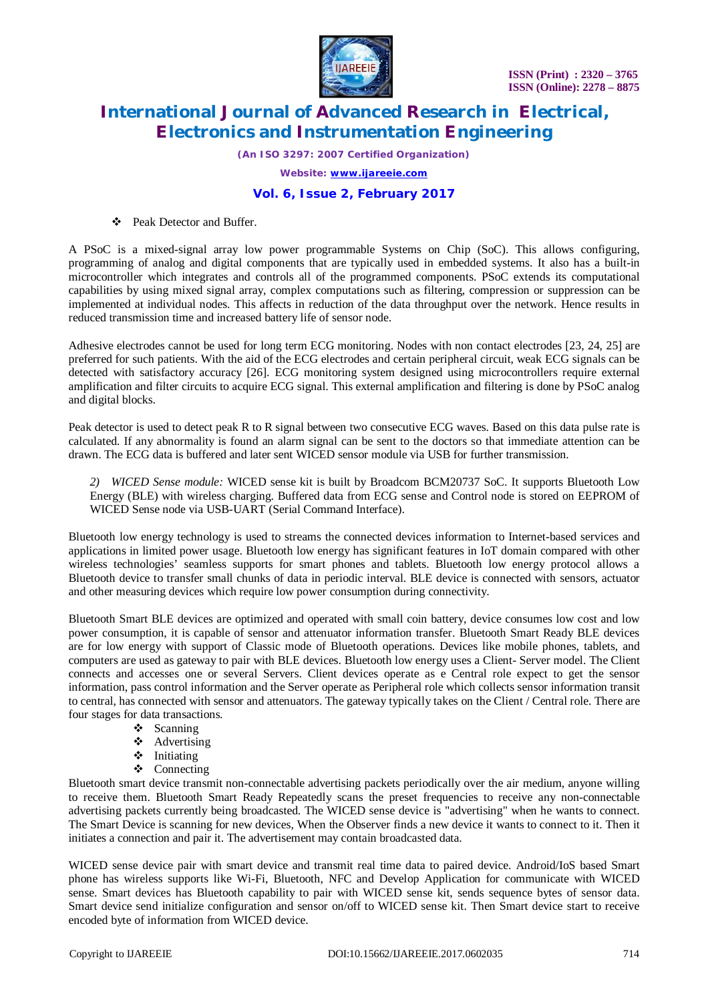

*(An ISO 3297: 2007 Certified Organization)*

*Website: [www.ijareeie.com](http://www.ijareeie.com)*

#### **Vol. 6, Issue 2, February 2017**

**S** Peak Detector and Buffer.

A PSoC is a mixed-signal array low power programmable Systems on Chip (SoC). This allows configuring, programming of analog and digital components that are typically used in embedded systems. It also has a built-in microcontroller which integrates and controls all of the programmed components. PSoC extends its computational capabilities by using mixed signal array, complex computations such as filtering, compression or suppression can be implemented at individual nodes. This affects in reduction of the data throughput over the network. Hence results in reduced transmission time and increased battery life of sensor node.

Adhesive electrodes cannot be used for long term ECG monitoring. Nodes with non contact electrodes [23, 24, 25] are preferred for such patients. With the aid of the ECG electrodes and certain peripheral circuit, weak ECG signals can be detected with satisfactory accuracy [26]. ECG monitoring system designed using microcontrollers require external amplification and filter circuits to acquire ECG signal. This external amplification and filtering is done by PSoC analog and digital blocks.

Peak detector is used to detect peak R to R signal between two consecutive ECG waves. Based on this data pulse rate is calculated. If any abnormality is found an alarm signal can be sent to the doctors so that immediate attention can be drawn. The ECG data is buffered and later sent WICED sensor module via USB for further transmission.

*2) WICED Sense module:* WICED sense kit is built by Broadcom BCM20737 SoC. It supports Bluetooth Low Energy (BLE) with wireless charging. Buffered data from ECG sense and Control node is stored on EEPROM of WICED Sense node via USB-UART (Serial Command Interface).

Bluetooth low energy technology is used to streams the connected devices information to Internet-based services and applications in limited power usage. Bluetooth low energy has significant features in IoT domain compared with other wireless technologies' seamless supports for smart phones and tablets. Bluetooth low energy protocol allows a Bluetooth device to transfer small chunks of data in periodic interval. BLE device is connected with sensors, actuator and other measuring devices which require low power consumption during connectivity.

Bluetooth Smart BLE devices are optimized and operated with small coin battery, device consumes low cost and low power consumption, it is capable of sensor and attenuator information transfer. Bluetooth Smart Ready BLE devices are for low energy with support of Classic mode of Bluetooth operations. Devices like mobile phones, tablets, and computers are used as gateway to pair with BLE devices. Bluetooth low energy uses a Client- Server model. The Client connects and accesses one or several Servers. Client devices operate as e Central role expect to get the sensor information, pass control information and the Server operate as Peripheral role which collects sensor information transit to central, has connected with sensor and attenuators. The gateway typically takes on the Client / Central role. There are four stages for data transactions.

- $\triangleleft$  Scanning
- $\triangleleft$  Advertising
- $\triangleleft$  Initiating
- ❖ Connecting

Bluetooth smart device transmit non-connectable advertising packets periodically over the air medium, anyone willing to receive them. Bluetooth Smart Ready Repeatedly scans the preset frequencies to receive any non-connectable advertising packets currently being broadcasted. The WICED sense device is "advertising" when he wants to connect. The Smart Device is scanning for new devices, When the Observer finds a new device it wants to connect to it. Then it initiates a connection and pair it. The advertisement may contain broadcasted data.

WICED sense device pair with smart device and transmit real time data to paired device. Android/IoS based Smart phone has wireless supports like Wi-Fi, Bluetooth, NFC and Develop Application for communicate with WICED sense. Smart devices has Bluetooth capability to pair with WICED sense kit, sends sequence bytes of sensor data. Smart device send initialize configuration and sensor on/off to WICED sense kit. Then Smart device start to receive encoded byte of information from WICED device.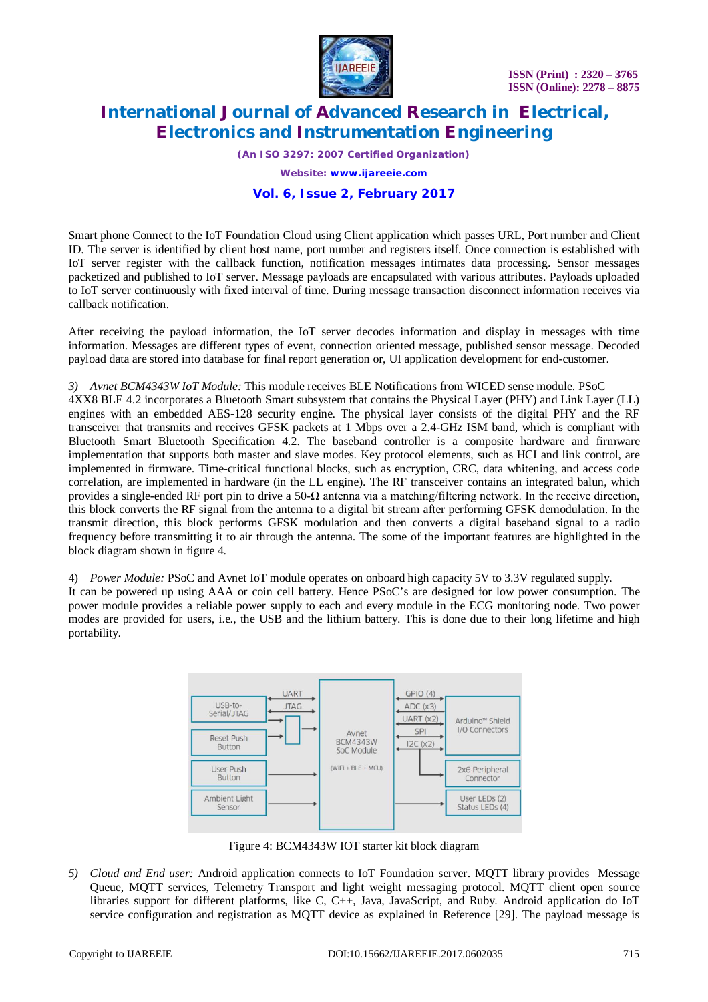

*(An ISO 3297: 2007 Certified Organization)*

*Website: [www.ijareeie.com](http://www.ijareeie.com)*

#### **Vol. 6, Issue 2, February 2017**

Smart phone Connect to the IoT Foundation Cloud using Client application which passes URL, Port number and Client ID. The server is identified by client host name, port number and registers itself. Once connection is established with IoT server register with the callback function, notification messages intimates data processing. Sensor messages packetized and published to IoT server. Message payloads are encapsulated with various attributes. Payloads uploaded to IoT server continuously with fixed interval of time. During message transaction disconnect information receives via callback notification.

After receiving the payload information, the IoT server decodes information and display in messages with time information. Messages are different types of event, connection oriented message, published sensor message. Decoded payload data are stored into database for final report generation or, UI application development for end-customer.

#### *3) Avnet BCM4343W IoT Module:* This module receives BLE Notifications from WICED sense module. PSoC

4XX8 BLE 4.2 incorporates a Bluetooth Smart subsystem that contains the Physical Layer (PHY) and Link Layer (LL) engines with an embedded AES-128 security engine. The physical layer consists of the digital PHY and the RF transceiver that transmits and receives GFSK packets at 1 Mbps over a 2.4-GHz ISM band, which is compliant with Bluetooth Smart Bluetooth Specification 4.2. The baseband controller is a composite hardware and firmware implementation that supports both master and slave modes. Key protocol elements, such as HCI and link control, are implemented in firmware. Time-critical functional blocks, such as encryption, CRC, data whitening, and access code correlation, are implemented in hardware (in the LL engine). The RF transceiver contains an integrated balun, which provides a single-ended RF port pin to drive a  $50-\Omega$  antenna via a matching/filtering network. In the receive direction, this block converts the RF signal from the antenna to a digital bit stream after performing GFSK demodulation. In the transmit direction, this block performs GFSK modulation and then converts a digital baseband signal to a radio frequency before transmitting it to air through the antenna. The some of the important features are highlighted in the block diagram shown in figure 4.

4) *Power Module:* PSoC and Avnet IoT module operates on onboard high capacity 5V to 3.3V regulated supply.

It can be powered up using AAA or coin cell battery. Hence PSoC's are designed for low power consumption. The power module provides a reliable power supply to each and every module in the ECG monitoring node. Two power modes are provided for users, i.e., the USB and the lithium battery. This is done due to their long lifetime and high portability.



Figure 4: BCM4343W IOT starter kit block diagram

*5) Cloud and End user:* Android application connects to IoT Foundation server. MQTT library provides Message Queue, MQTT services, Telemetry Transport and light weight messaging protocol. MQTT client open source libraries support for different platforms, like C, C++, Java, JavaScript, and Ruby. Android application do IoT service configuration and registration as MQTT device as explained in Reference [29]. The payload message is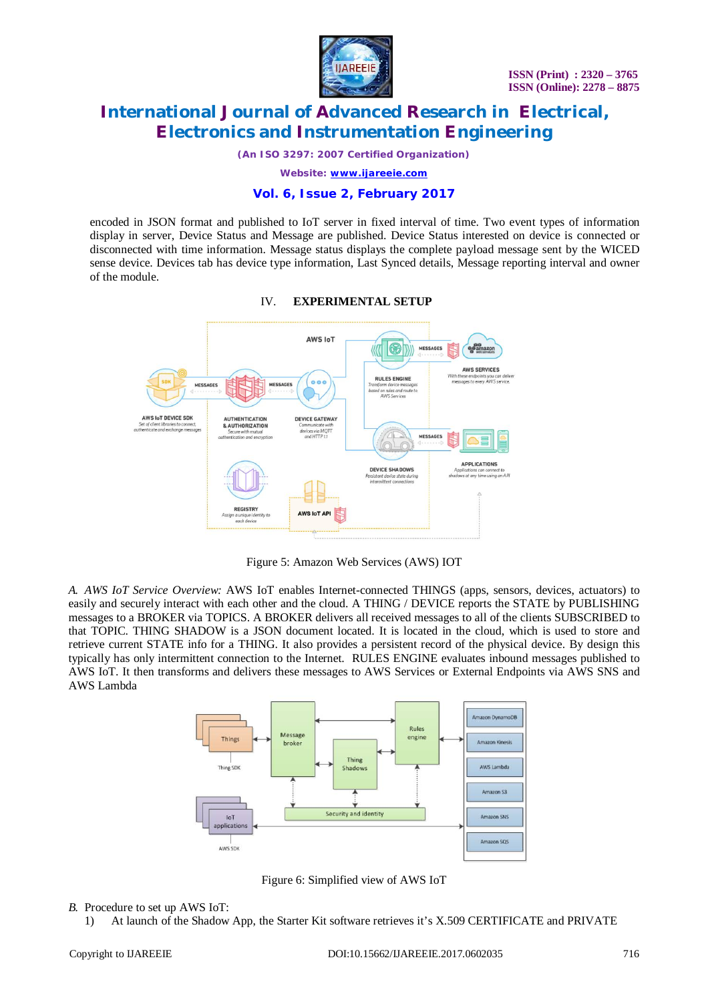

*(An ISO 3297: 2007 Certified Organization)*

*Website: [www.ijareeie.com](http://www.ijareeie.com)*

#### **Vol. 6, Issue 2, February 2017**

encoded in JSON format and published to IoT server in fixed interval of time. Two event types of information display in server, Device Status and Message are published. Device Status interested on device is connected or disconnected with time information. Message status displays the complete payload message sent by the WICED sense device. Devices tab has device type information, Last Synced details, Message reporting interval and owner of the module.



#### IV. **EXPERIMENTAL SETUP**

Figure 5: Amazon Web Services (AWS) IOT

*A. AWS IoT Service Overview:* AWS IoT enables Internet-connected THINGS (apps, sensors, devices, actuators) to easily and securely interact with each other and the cloud. A THING / DEVICE reports the STATE by PUBLISHING messages to a BROKER via TOPICS. A BROKER delivers all received messages to all of the clients SUBSCRIBED to that TOPIC. THING SHADOW is a JSON document located. It is located in the cloud, which is used to store and retrieve current STATE info for a THING. It also provides a persistent record of the physical device. By design this typically has only intermittent connection to the Internet. RULES ENGINE evaluates inbound messages published to AWS IoT. It then transforms and delivers these messages to AWS Services or External Endpoints via AWS SNS and AWS Lambda



Figure 6: Simplified view of AWS IoT

#### *B.* Procedure to set up AWS IoT:

1) At launch of the Shadow App, the Starter Kit software retrieves it's X.509 CERTIFICATE and PRIVATE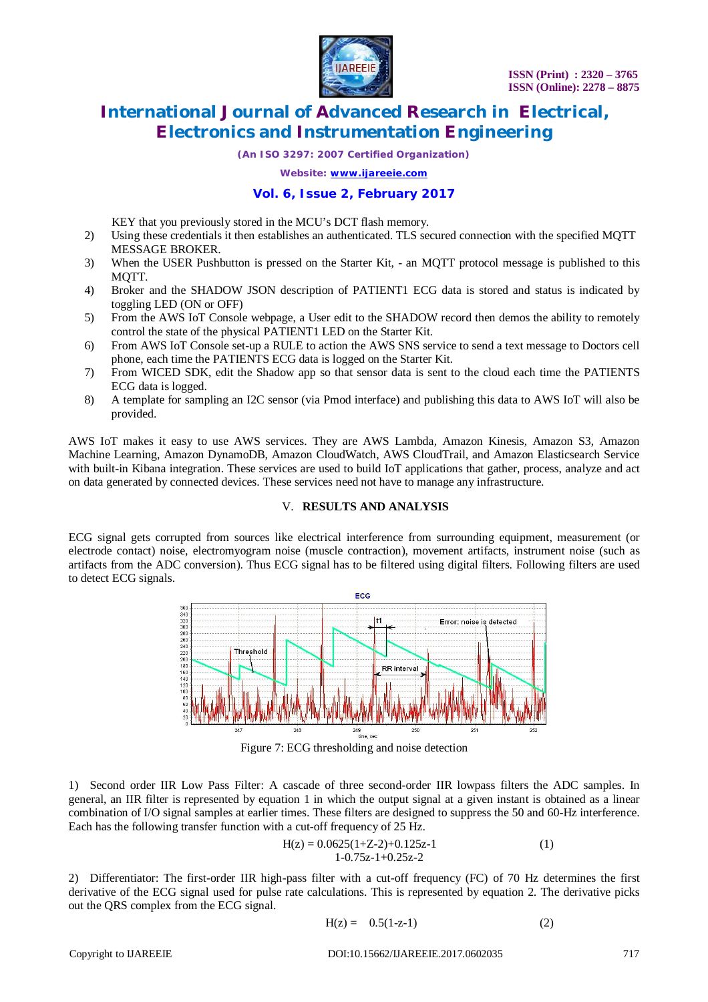

*(An ISO 3297: 2007 Certified Organization)*

*Website: [www.ijareeie.com](http://www.ijareeie.com)*

#### **Vol. 6, Issue 2, February 2017**

KEY that you previously stored in the MCU's DCT flash memory.

- 2) Using these credentials it then establishes an authenticated. TLS secured connection with the specified MQTT MESSAGE BROKER.
- 3) When the USER Pushbutton is pressed on the Starter Kit, an MQTT protocol message is published to this MOTT.
- 4) Broker and the SHADOW JSON description of PATIENT1 ECG data is stored and status is indicated by toggling LED (ON or OFF)
- 5) From the AWS IoT Console webpage, a User edit to the SHADOW record then demos the ability to remotely control the state of the physical PATIENT1 LED on the Starter Kit.
- 6) From AWS IoT Console set-up a RULE to action the AWS SNS service to send a text message to Doctors cell phone, each time the PATIENTS ECG data is logged on the Starter Kit.
- 7) From WICED SDK, edit the Shadow app so that sensor data is sent to the cloud each time the PATIENTS ECG data is logged.
- 8) A template for sampling an I2C sensor (via Pmod interface) and publishing this data to AWS IoT will also be provided.

AWS IoT makes it easy to use AWS services. They are AWS Lambda, Amazon Kinesis, Amazon S3, Amazon Machine Learning, Amazon DynamoDB, Amazon CloudWatch, AWS CloudTrail, and Amazon Elasticsearch Service with built-in Kibana integration. These services are used to build IoT applications that gather, process, analyze and act on data generated by connected devices. These services need not have to manage any infrastructure.

#### V. **RESULTS AND ANALYSIS**

ECG signal gets corrupted from sources like electrical interference from surrounding equipment, measurement (or electrode contact) noise, electromyogram noise (muscle contraction), movement artifacts, instrument noise (such as artifacts from the ADC conversion). Thus ECG signal has to be filtered using digital filters. Following filters are used to detect ECG signals.



Figure 7: ECG thresholding and noise detection

1) Second order IIR Low Pass Filter: A cascade of three second-order IIR lowpass filters the ADC samples. In general, an IIR filter is represented by equation 1 in which the output signal at a given instant is obtained as a linear combination of I/O signal samples at earlier times. These filters are designed to suppress the 50 and 60-Hz interference. Each has the following transfer function with a cut-off frequency of 25 Hz.

$$
H(z) = 0.0625(1+Z-2)+0.125z-1
$$
  
1-0.75z-1+0.25z-2 (1)

2) Differentiator: The first-order IIR high-pass filter with a cut-off frequency (FC) of 70 Hz determines the first derivative of the ECG signal used for pulse rate calculations. This is represented by equation 2. The derivative picks out the QRS complex from the ECG signal.

$$
H(z) = 0.5(1-z-1)
$$
 (2)

Copyright to IJAREEIE DOI:10.15662/IJAREEIE.2017.0602035 717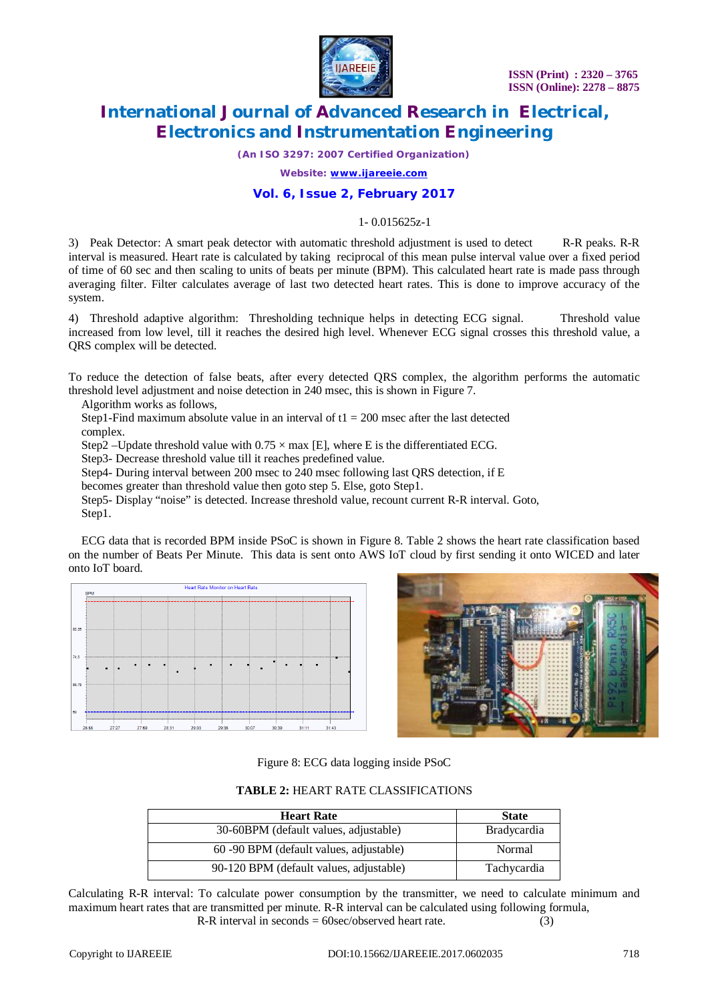

*(An ISO 3297: 2007 Certified Organization)*

*Website: [www.ijareeie.com](http://www.ijareeie.com)*

#### **Vol. 6, Issue 2, February 2017**

#### 1- 0.015625z-1

3) Peak Detector: A smart peak detector with automatic threshold adjustment is used to detect R-R peaks. R-R interval is measured. Heart rate is calculated by taking reciprocal of this mean pulse interval value over a fixed period of time of 60 sec and then scaling to units of beats per minute (BPM). This calculated heart rate is made pass through averaging filter. Filter calculates average of last two detected heart rates. This is done to improve accuracy of the system.

4) Threshold adaptive algorithm: Thresholding technique helps in detecting ECG signal. Threshold value increased from low level, till it reaches the desired high level. Whenever ECG signal crosses this threshold value, a QRS complex will be detected.

To reduce the detection of false beats, after every detected QRS complex, the algorithm performs the automatic threshold level adjustment and noise detection in 240 msec, this is shown in Figure 7.

Algorithm works as follows,

Step1-Find maximum absolute value in an interval of  $t_1 = 200$  msec after the last detected complex.

Step2 –Update threshold value with  $0.75 \times$  max [E], where E is the differentiated ECG.

Step3- Decrease threshold value till it reaches predefined value.

Step4- During interval between 200 msec to 240 msec following last QRS detection, if E

becomes greater than threshold value then goto step 5. Else, goto Step1.

Step5- Display "noise" is detected. Increase threshold value, recount current R-R interval. Goto, Step1.

ECG data that is recorded BPM inside PSoC is shown in Figure 8. Table 2 shows the heart rate classification based on the number of Beats Per Minute. This data is sent onto AWS IoT cloud by first sending it onto WICED and later onto IoT board.





Figure 8: ECG data logging inside PSoC

**TABLE 2:** HEART RATE CLASSIFICATIONS

| <b>Heart Rate</b>                       | <b>State</b>       |
|-----------------------------------------|--------------------|
| 30-60BPM (default values, adjustable)   | <b>Bradycardia</b> |
| 60 -90 BPM (default values, adjustable) | Normal             |
| 90-120 BPM (default values, adjustable) | Tachycardia        |

Calculating R-R interval: To calculate power consumption by the transmitter, we need to calculate minimum and maximum heart rates that are transmitted per minute. R-R interval can be calculated using following formula, R-R interval in seconds  $= 60$ sec/observed heart rate. (3)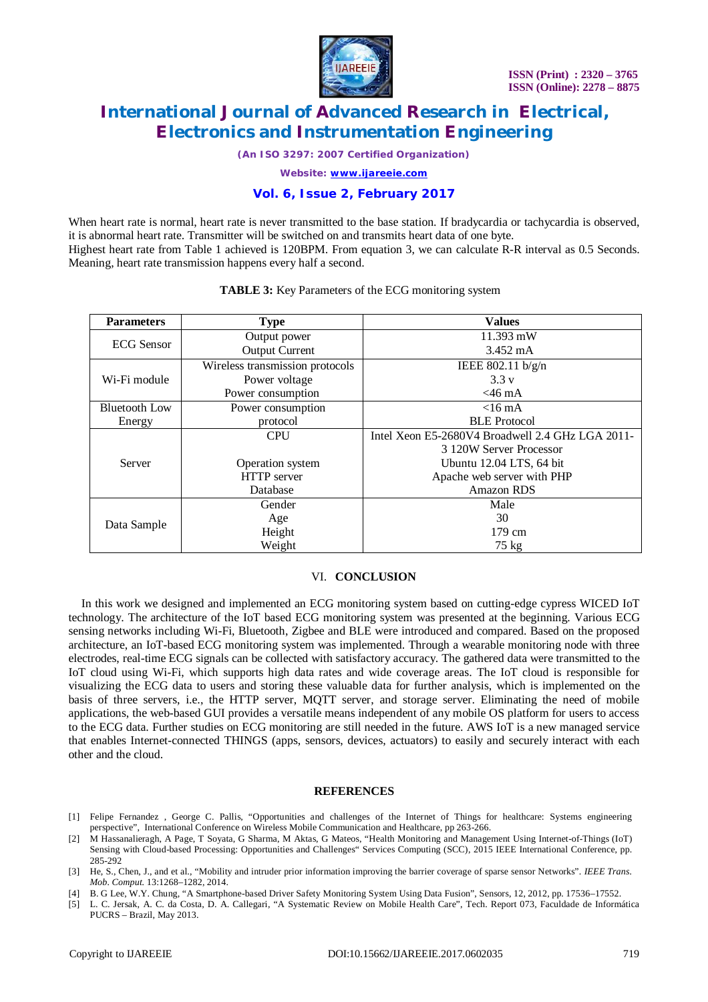

*(An ISO 3297: 2007 Certified Organization)*

*Website: [www.ijareeie.com](http://www.ijareeie.com)*

#### **Vol. 6, Issue 2, February 2017**

When heart rate is normal, heart rate is never transmitted to the base station. If bradycardia or tachycardia is observed, it is abnormal heart rate. Transmitter will be switched on and transmits heart data of one byte. Highest heart rate from Table 1 achieved is 120BPM. From equation 3, we can calculate R-R interval as 0.5 Seconds. Meaning, heart rate transmission happens every half a second.

| <b>Parameters</b>    | <b>Type</b>                     | <b>Values</b>                                    |  |
|----------------------|---------------------------------|--------------------------------------------------|--|
| <b>ECG</b> Sensor    | Output power                    | $11.393$ mW                                      |  |
|                      | <b>Output Current</b>           | $3.452 \text{ mA}$                               |  |
| Wi-Fi module         | Wireless transmission protocols | IEEE $802.11 \frac{b}{g/n}$                      |  |
|                      | Power voltage                   | 3.3v                                             |  |
|                      | Power consumption               | $<$ 46 mA                                        |  |
| <b>Bluetooth Low</b> | Power consumption               | $<$ 16 mA                                        |  |
| Energy               | protocol                        | <b>BLE</b> Protocol                              |  |
| Server               | <b>CPU</b>                      | Intel Xeon E5-2680V4 Broadwell 2.4 GHz LGA 2011- |  |
|                      |                                 | 3 120W Server Processor                          |  |
|                      | Operation system                | Ubuntu 12.04 LTS, 64 bit                         |  |
|                      | HTTP server                     | Apache web server with PHP                       |  |
|                      | Database                        | <b>Amazon RDS</b>                                |  |
| Data Sample          | Gender                          | Male                                             |  |
|                      | Age                             | 30                                               |  |
|                      | Height                          | 179 cm                                           |  |
|                      | Weight                          | $75 \text{ kg}$                                  |  |

#### **TABLE 3:** Key Parameters of the ECG monitoring system

#### VI. **CONCLUSION**

In this work we designed and implemented an ECG monitoring system based on cutting-edge cypress WICED IoT technology. The architecture of the IoT based ECG monitoring system was presented at the beginning. Various ECG sensing networks including Wi-Fi, Bluetooth, Zigbee and BLE were introduced and compared. Based on the proposed architecture, an IoT-based ECG monitoring system was implemented. Through a wearable monitoring node with three electrodes, real-time ECG signals can be collected with satisfactory accuracy. The gathered data were transmitted to the IoT cloud using Wi-Fi, which supports high data rates and wide coverage areas. The IoT cloud is responsible for visualizing the ECG data to users and storing these valuable data for further analysis, which is implemented on the basis of three servers, i.e., the HTTP server, MQTT server, and storage server. Eliminating the need of mobile applications, the web-based GUI provides a versatile means independent of any mobile OS platform for users to access to the ECG data. Further studies on ECG monitoring are still needed in the future. AWS IoT is a new managed service that enables Internet-connected THINGS (apps, sensors, devices, actuators) to easily and securely interact with each other and the cloud.

#### **REFERENCES**

- [1] Felipe Fernandez , George C. Pallis, "Opportunities and challenges of the Internet of Things for healthcare: Systems engineering perspective", International Conference on Wireless Mobile Communication and Healthcare, pp 263-266.
- [2] M Hassanalieragh, A Page, T Soyata, G Sharma, M Aktas, G Mateos, "Health Monitoring and Management Using Internet-of-Things (IoT) Sensing with Cloud-based Processing: Opportunities and Challenges" Services Computing (SCC), 2015 IEEE International Conference, pp. 285-292
- [3] He, S., Chen, J., and et al., "Mobility and intruder prior information improving the barrier coverage of sparse sensor Networks". *IEEE Trans. Mob. Comput.* 13:1268–1282, 2014.
- [4] B. G Lee, W.Y. Chung, "A Smartphone-based Driver Safety Monitoring System Using Data Fusion", Sensors, 12, 2012, pp. 17536–17552.
- [5] L. C. Jersak, A. C. da Costa, D. A. Callegari, "A Systematic Review on Mobile Health Care", Tech. Report 073, Faculdade de Informática PUCRS – Brazil, May 2013.